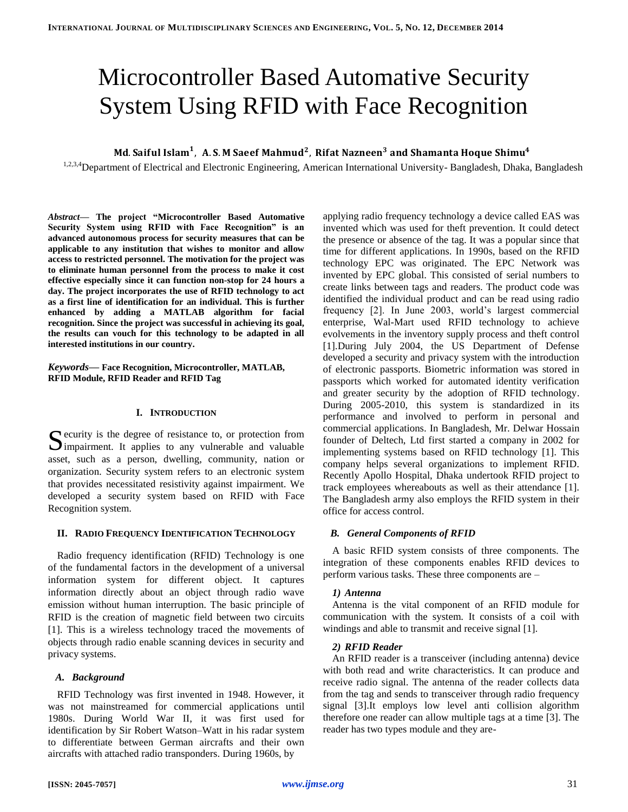# Microcontroller Based Automative Security System Using RFID with Face Recognition

# Md. Saiful Islam<sup>1</sup>, A.S. M Saeef Mahmud<sup>2</sup>,

<sup>1,2,3,4</sup>Department of Electrical and Electronic Engineering, American International University-Bangladesh, Dhaka, Bangladesh

*Abstract***— The project "Microcontroller Based Automative Security System using RFID with Face Recognition" is an advanced autonomous process for security measures that can be applicable to any institution that wishes to monitor and allow access to restricted personnel. The motivation for the project was to eliminate human personnel from the process to make it cost effective especially since it can function non-stop for 24 hours a day. The project incorporates the use of RFID technology to act as a first line of identification for an individual. This is further enhanced by adding a MATLAB algorithm for facial recognition. Since the project was successful in achieving its goal, the results can vouch for this technology to be adapted in all interested institutions in our country.**

*Keywords***— Face Recognition, Microcontroller, MATLAB, RFID Module, RFID Reader and RFID Tag**

# **I. INTRODUCTION**

 $\Gamma$  ecurity is the degree of resistance to, or protection from Security is the degree of resistance to, or protection from<br>
Simpairment. It applies to any vulnerable and valuable asset, such as a person, dwelling, community, nation or organization. Security system refers to an electronic system that provides necessitated resistivity against impairment. We developed a security system based on RFID with Face Recognition system.

#### **II. RADIO FREQUENCY IDENTIFICATION TECHNOLOGY**

Radio frequency identification (RFID) Technology is one of the fundamental factors in the development of a universal information system for different object. It captures information directly about an object through radio wave emission without human interruption. The basic principle of RFID is the creation of magnetic field between two circuits [1]. This is a wireless technology traced the movements of objects through radio enable scanning devices in security and privacy systems.

## *A. Background*

RFID Technology was first invented in 1948. However, it was not mainstreamed for commercial applications until 1980s. During World War II, it was first used for identification by Sir Robert Watson–Watt in his radar system to differentiate between German aircrafts and their own aircrafts with attached radio transponders. During 1960s, by

applying radio frequency technology a device called EAS was invented which was used for theft prevention. It could detect the presence or absence of the tag. It was a popular since that time for different applications. In 1990s, based on the RFID technology EPC was originated. The EPC Network was invented by EPC global. This consisted of serial numbers to create links between tags and readers. The product code was identified the individual product and can be read using radio frequency [2]. In June 2003, world's largest commercial enterprise, Wal-Mart used RFID technology to achieve evolvements in the inventory supply process and theft control [1].During July 2004, the US Department of Defense developed a security and privacy system with the introduction of electronic passports. Biometric information was stored in passports which worked for automated identity verification and greater security by the adoption of RFID technology. During 2005-2010, this system is standardized in its performance and involved to perform in personal and commercial applications. In Bangladesh, Mr. Delwar Hossain founder of Deltech, Ltd first started a company in 2002 for implementing systems based on RFID technology [1]. This company helps several organizations to implement RFID. Recently Apollo Hospital, Dhaka undertook RFID project to track employees whereabouts as well as their attendance [1]. The Bangladesh army also employs the RFID system in their office for access control.

# *B. General Components of RFID*

A basic RFID system consists of three components. The integration of these components enables RFID devices to perform various tasks. These three components are –

#### *1) Antenna*

Antenna is the vital component of an RFID module for communication with the system. It consists of a coil with windings and able to transmit and receive signal [1].

#### *2) RFID Reader*

An RFID reader is a transceiver (including antenna) device with both read and write characteristics. It can produce and receive radio signal. The antenna of the reader collects data from the tag and sends to transceiver through radio frequency signal [3].It employs low level anti collision algorithm therefore one reader can allow multiple tags at a time [3]. The reader has two types module and they are-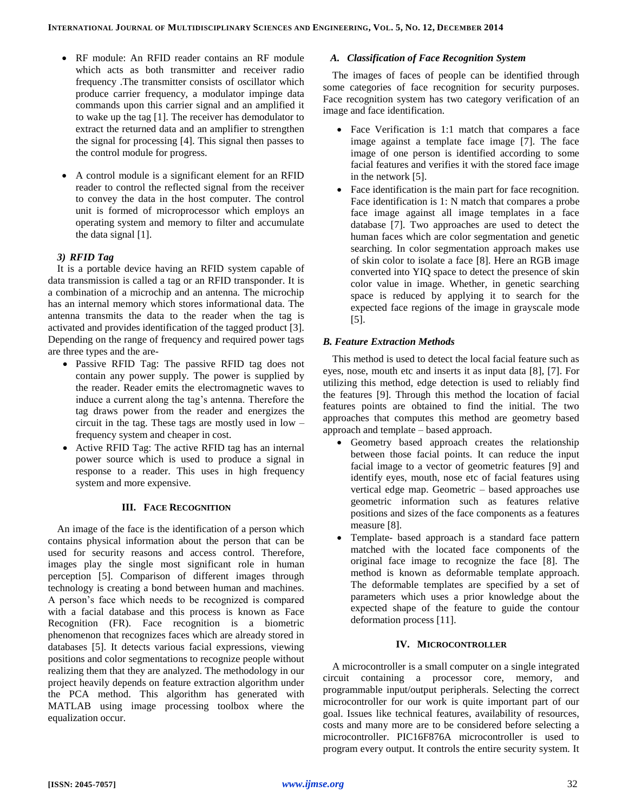- RF module: An RFID reader contains an RF module which acts as both transmitter and receiver radio frequency .The transmitter consists of oscillator which produce carrier frequency, a modulator impinge data commands upon this carrier signal and an amplified it to wake up the tag [1]. The receiver has demodulator to extract the returned data and an amplifier to strengthen the signal for processing [4]. This signal then passes to the control module for progress.
- A control module is a significant element for an RFID reader to control the reflected signal from the receiver to convey the data in the host computer. The control unit is formed of microprocessor which employs an operating system and memory to filter and accumulate the data signal [1].

## *3) RFID Tag*

It is a portable device having an RFID system capable of data transmission is called a tag or an RFID transponder. It is a combination of a microchip and an antenna. The microchip has an internal memory which stores informational data. The antenna transmits the data to the reader when the tag is activated and provides identification of the tagged product [3]. Depending on the range of frequency and required power tags are three types and the are-

- Passive RFID Tag: The passive RFID tag does not contain any power supply. The power is supplied by the reader. Reader emits the electromagnetic waves to induce a current along the tag's antenna. Therefore the tag draws power from the reader and energizes the circuit in the tag. These tags are mostly used in low – frequency system and cheaper in cost.
- Active RFID Tag: The active RFID tag has an internal power source which is used to produce a signal in response to a reader. This uses in high frequency system and more expensive.

# **III. FACE RECOGNITION**

An image of the face is the identification of a person which contains physical information about the person that can be used for security reasons and access control. Therefore, images play the single most significant role in human perception [5]. Comparison of different images through technology is creating a bond between human and machines. A person's face which needs to be recognized is compared with a facial database and this process is known as Face Recognition (FR). Face recognition is a biometric phenomenon that recognizes faces which are already stored in databases [5]. It detects various facial expressions, viewing positions and color segmentations to recognize people without realizing them that they are analyzed. The methodology in our project heavily depends on feature extraction algorithm under the PCA method. This algorithm has generated with MATLAB using image processing toolbox where the equalization occur.

# *A. Classification of Face Recognition System*

The images of faces of people can be identified through some categories of face recognition for security purposes. Face recognition system has two category verification of an image and face identification.

- Face Verification is 1:1 match that compares a face image against a template face image [7]. The face image of one person is identified according to some facial features and verifies it with the stored face image in the network [5].
- Face identification is the main part for face recognition. Face identification is 1: N match that compares a probe face image against all image templates in a face database [7]. Two approaches are used to detect the human faces which are color segmentation and genetic searching. In color segmentation approach makes use of skin color to isolate a face [8]. Here an RGB image converted into YIQ space to detect the presence of skin color value in image. Whether, in genetic searching space is reduced by applying it to search for the expected face regions of the image in grayscale mode [5].

#### *B. Feature Extraction Methods*

This method is used to detect the local facial feature such as eyes, nose, mouth etc and inserts it as input data [8], [7]. For utilizing this method, edge detection is used to reliably find the features [9]. Through this method the location of facial features points are obtained to find the initial. The two approaches that computes this method are geometry based approach and template – based approach.

- Geometry based approach creates the relationship between those facial points. It can reduce the input facial image to a vector of geometric features [9] and identify eyes, mouth, nose etc of facial features using vertical edge map. Geometric – based approaches use geometric information such as features relative positions and sizes of the face components as a features measure [8].
- Template- based approach is a standard face pattern matched with the located face components of the original face image to recognize the face [8]. The method is known as deformable template approach. The deformable templates are specified by a set of parameters which uses a prior knowledge about the expected shape of the feature to guide the contour deformation process [11].

#### **IV. MICROCONTROLLER**

A microcontroller is a small computer on a single integrated circuit containing a processor core, memory, and programmable input/output peripherals. Selecting the correct microcontroller for our work is quite important part of our goal. Issues like technical features, availability of resources, costs and many more are to be considered before selecting a microcontroller. PIC16F876A microcontroller is used to program every output. It controls the entire security system. It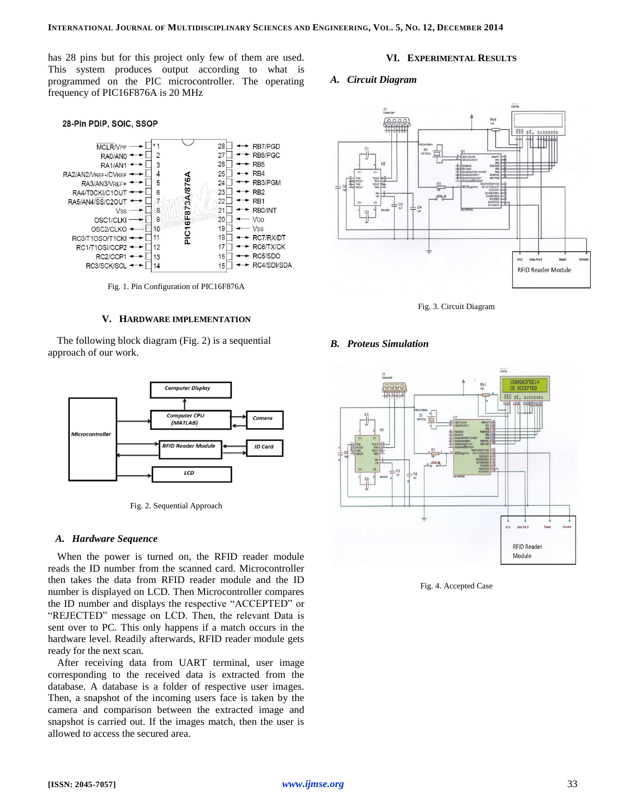has 28 pins but for this project only few of them are used. This system produces output according to what is programmed on the PIC microcontroller. The operating frequency of PIC16F876A is 20 MHz

#### 28-Pin PDIP, SOIC, SSOP



Fig. 1. Pin Configuration of PIC16F876A

#### **V. HARDWARE IMPLEMENTATION**

The following block diagram (Fig. 2) is a sequential approach of our work.



Fig. 2. Sequential Approach

#### *A. Hardware Sequence*

When the power is turned on, the RFID reader module reads the ID number from the scanned card. Microcontroller then takes the data from RFID reader module and the ID number is displayed on LCD. Then Microcontroller compares the ID number and displays the respective "ACCEPTED" or "REJECTED" message on LCD. Then, the relevant Data is sent over to PC. This only happens if a match occurs in the hardware level. Readily afterwards, RFID reader module gets ready for the next scan.

After receiving data from UART terminal, user image corresponding to the received data is extracted from the database. A database is a folder of respective user images. Then, a snapshot of the incoming users face is taken by the camera and comparison between the extracted image and snapshot is carried out. If the images match, then the user is allowed to access the secured area.

## **VI. EXPERIMENTAL RESULTS**

### *A. Circuit Diagram*



Fig. 3. Circuit Diagram

## *B. Proteus Simulation*



Fig. 4. Accepted Case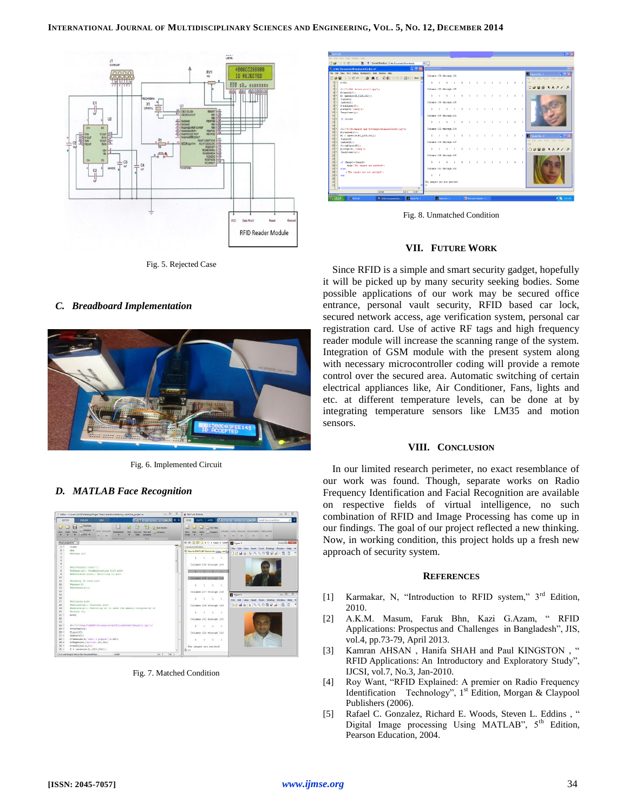

Fig. 5. Rejected Case





Fig. 6. Implemented Circuit

# *D. MATLAB Face Recognition*



Fig. 7. Matched Condition



Fig. 8. Unmatched Condition

# **VII. FUTURE WORK**

Since RFID is a simple and smart security gadget, hopefully it will be picked up by many security seeking bodies. Some possible applications of our work may be secured office entrance, personal vault security, RFID based car lock, secured network access, age verification system, personal car registration card. Use of active RF tags and high frequency reader module will increase the scanning range of the system. Integration of GSM module with the present system along with necessary microcontroller coding will provide a remote control over the secured area. Automatic switching of certain electrical appliances like, Air Conditioner, Fans, lights and etc. at different temperature levels, can be done at by integrating temperature sensors like LM35 and motion sensors.

## **VIII. CONCLUSION**

In our limited research perimeter, no exact resemblance of our work was found. Though, separate works on Radio Frequency Identification and Facial Recognition are available on respective fields of virtual intelligence, no such combination of RFID and Image Processing has come up in our findings. The goal of our project reflected a new thinking. Now, in working condition, this project holds up a fresh new approach of security system.

#### **REFERENCES**

- [1] Karmakar, N, "Introduction to RFID system," 3<sup>rd</sup> Edition, 2010.
- [2] A.K.M. Masum, Faruk Bhn, Kazi G.Azam, " RFID Applications: Prospectus and Challenges in Bangladesh", JIS, vol.4, pp.73-79, April 2013.
- [3] Kamran AHSAN , Hanifa SHAH and Paul KINGSTON , " RFID Applications: An Introductory and Exploratory Study", IJCSI, vol.7, No.3, Jan-2010.
- [4] Roy Want, "RFID Explained: A premier on Radio Frequency Identification Technology", 1<sup>st</sup> Edition, Morgan & Claypool Publishers (2006).
- [5] Rafael C. Gonzalez, Richard E. Woods, Steven L. Eddins, " Digital Image processing Using MATLAB", 5<sup>th</sup> Edition, Pearson Education, 2004.